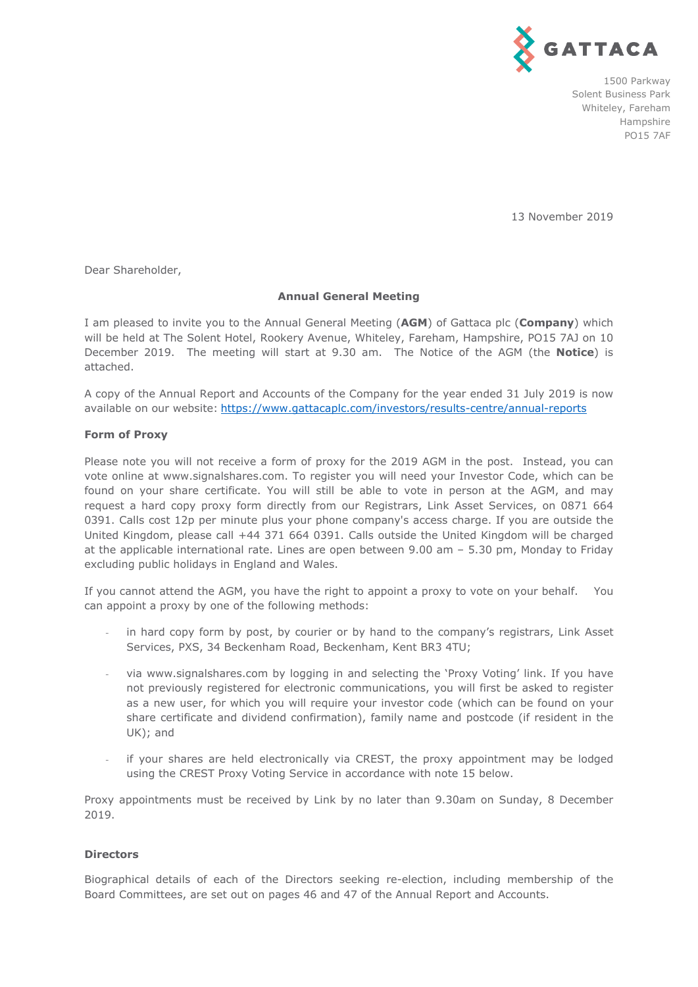

1500 Parkway Solent Business Park Whiteley, Fareham Hampshire PO15 7AF

13 November 2019

Dear Shareholder,

## **Annual General Meeting**

I am pleased to invite you to the Annual General Meeting (**AGM**) of Gattaca plc (**Company**) which will be held at The Solent Hotel, Rookery Avenue, Whiteley, Fareham, Hampshire, PO15 7AJ on 10 December 2019. The meeting will start at 9.30 am. The Notice of the AGM (the **Notice**) is attached.

A copy of the Annual Report and Accounts of the Company for the year ended 31 July 2019 is now available on our website: https://www.gattacaplc.com/investors/results-centre/annual-reports

## **Form of Proxy**

Please note you will not receive a form of proxy for the 2019 AGM in the post. Instead, you can vote online at www.signalshares.com. To register you will need your Investor Code, which can be found on your share certificate. You will still be able to vote in person at the AGM, and may request a hard copy proxy form directly from our Registrars, Link Asset Services, on 0871 664 0391. Calls cost 12p per minute plus your phone company's access charge. If you are outside the United Kingdom, please call +44 371 664 0391. Calls outside the United Kingdom will be charged at the applicable international rate. Lines are open between 9.00 am – 5.30 pm, Monday to Friday excluding public holidays in England and Wales.

If you cannot attend the AGM, you have the right to appoint a proxy to vote on your behalf. You can appoint a proxy by one of the following methods:

- in hard copy form by post, by courier or by hand to the company's registrars, Link Asset Services, PXS, 34 Beckenham Road, Beckenham, Kent BR3 4TU;
- via www.signalshares.com by logging in and selecting the 'Proxy Voting' link. If you have not previously registered for electronic communications, you will first be asked to register as a new user, for which you will require your investor code (which can be found on your share certificate and dividend confirmation), family name and postcode (if resident in the UK); and
- if your shares are held electronically via CREST, the proxy appointment may be lodged using the CREST Proxy Voting Service in accordance with note 15 below.

Proxy appointments must be received by Link by no later than 9.30am on Sunday, 8 December 2019.

# **Directors**

Biographical details of each of the Directors seeking re-election, including membership of the Board Committees, are set out on pages 46 and 47 of the Annual Report and Accounts.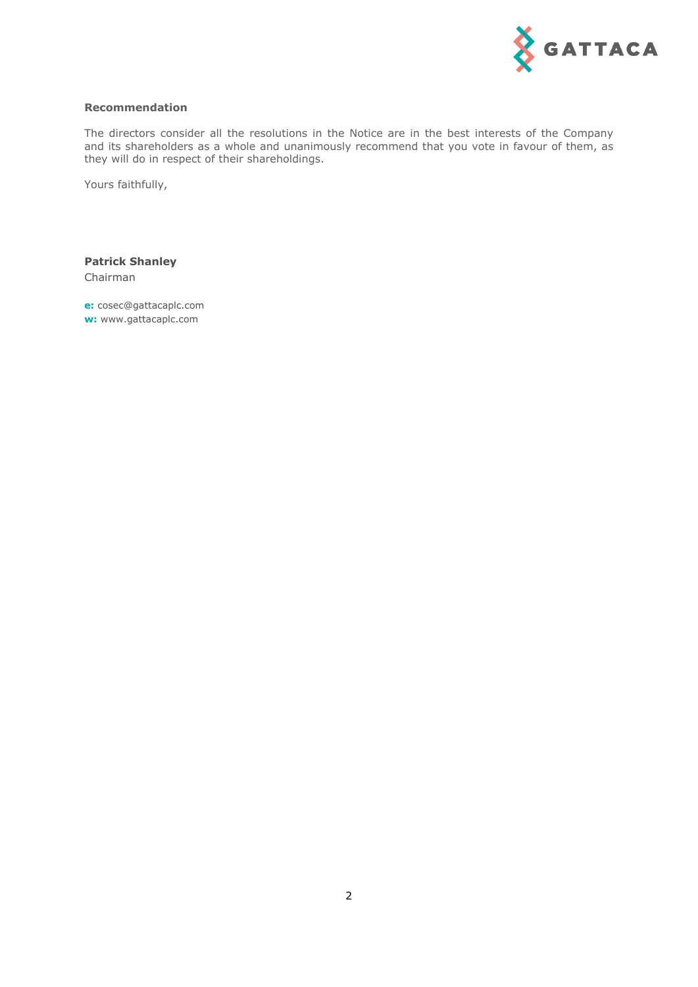

### **Recommendation**

The directors consider all the resolutions in the Notice are in the best interests of the Company and its shareholders as a whole and unanimously recommend that you vote in favour of them, as they will do in respect of their shareholdings.

Yours faithfully,

**Patrick Shanley**  Chairman

**e:** cosec@gattacaplc.com **w:** www.gattacaplc.com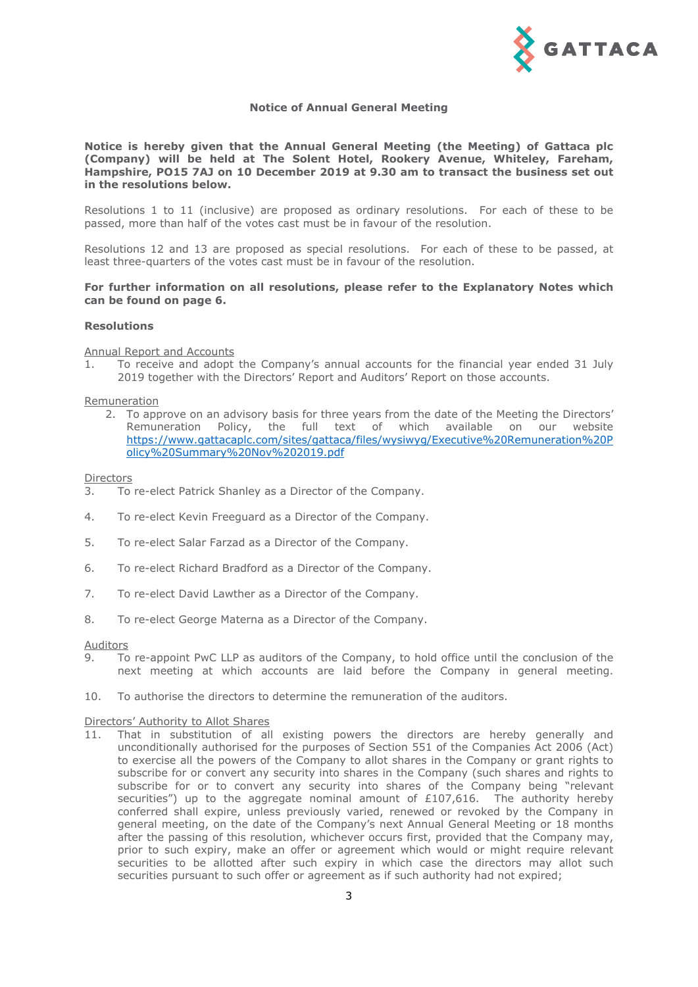

### **Notice of Annual General Meeting**

**Notice is hereby given that the Annual General Meeting (the Meeting) of Gattaca plc (Company) will be held at The Solent Hotel, Rookery Avenue, Whiteley, Fareham, Hampshire, PO15 7AJ on 10 December 2019 at 9.30 am to transact the business set out in the resolutions below.** 

Resolutions 1 to 11 (inclusive) are proposed as ordinary resolutions. For each of these to be passed, more than half of the votes cast must be in favour of the resolution.

Resolutions 12 and 13 are proposed as special resolutions. For each of these to be passed, at least three-quarters of the votes cast must be in favour of the resolution.

### **For further information on all resolutions, please refer to the Explanatory Notes which can be found on page 6.**

### **Resolutions**

Annual Report and Accounts

1. To receive and adopt the Company's annual accounts for the financial year ended 31 July 2019 together with the Directors' Report and Auditors' Report on those accounts.

#### Remuneration

2. To approve on an advisory basis for three years from the date of the Meeting the Directors' Remuneration Policy, the full text of which available on our website https://www.gattacaplc.com/sites/gattaca/files/wysiwyg/Executive%20Remuneration%20P olicy%20Summary%20Nov%202019.pdf

### **Directors**

- 3. To re-elect Patrick Shanley as a Director of the Company.
- 4. To re-elect Kevin Freeguard as a Director of the Company.
- 5. To re-elect Salar Farzad as a Director of the Company.
- 6. To re-elect Richard Bradford as a Director of the Company.
- 7. To re-elect David Lawther as a Director of the Company.
- 8. To re-elect George Materna as a Director of the Company.

#### Auditors

- 9. To re-appoint PwC LLP as auditors of the Company, to hold office until the conclusion of the next meeting at which accounts are laid before the Company in general meeting.
- 10. To authorise the directors to determine the remuneration of the auditors.

#### Directors' Authority to Allot Shares

11. That in substitution of all existing powers the directors are hereby generally and unconditionally authorised for the purposes of Section 551 of the Companies Act 2006 (Act) to exercise all the powers of the Company to allot shares in the Company or grant rights to subscribe for or convert any security into shares in the Company (such shares and rights to subscribe for or to convert any security into shares of the Company being "relevant securities") up to the aggregate nominal amount of  $£107,616$ . The authority hereby conferred shall expire, unless previously varied, renewed or revoked by the Company in general meeting, on the date of the Company's next Annual General Meeting or 18 months after the passing of this resolution, whichever occurs first, provided that the Company may, prior to such expiry, make an offer or agreement which would or might require relevant securities to be allotted after such expiry in which case the directors may allot such securities pursuant to such offer or agreement as if such authority had not expired;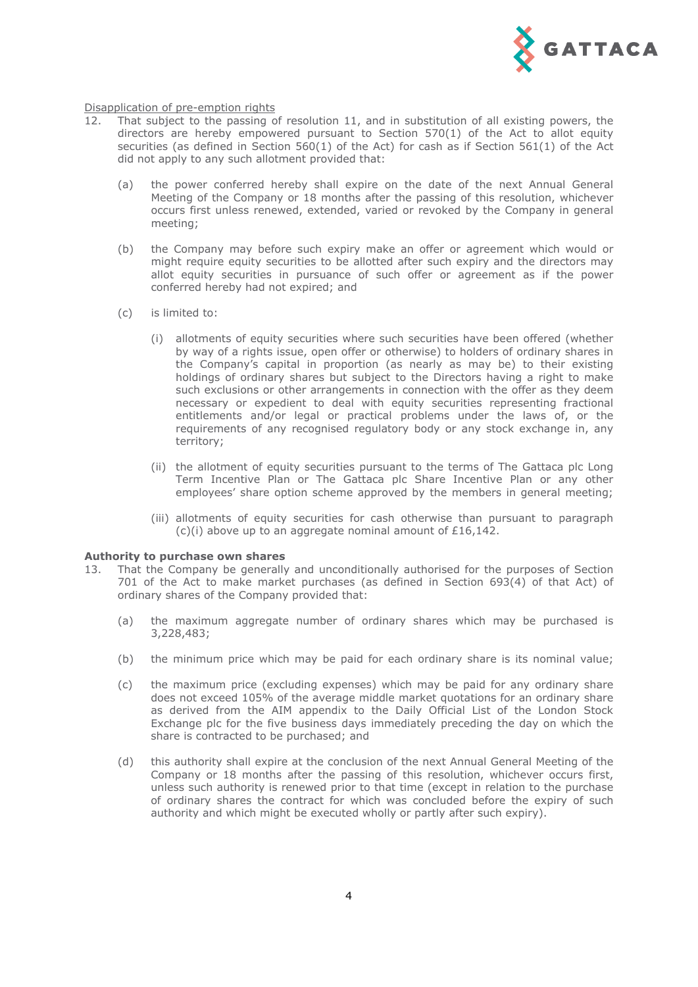

#### Disapplication of pre-emption rights

- 12. That subject to the passing of resolution 11, and in substitution of all existing powers, the directors are hereby empowered pursuant to Section  $570(1)$  of the Act to allot equity securities (as defined in Section 560(1) of the Act) for cash as if Section 561(1) of the Act did not apply to any such allotment provided that:
	- (a) the power conferred hereby shall expire on the date of the next Annual General Meeting of the Company or 18 months after the passing of this resolution, whichever occurs first unless renewed, extended, varied or revoked by the Company in general meeting;
	- (b) the Company may before such expiry make an offer or agreement which would or might require equity securities to be allotted after such expiry and the directors may allot equity securities in pursuance of such offer or agreement as if the power conferred hereby had not expired; and
	- (c) is limited to:
		- (i) allotments of equity securities where such securities have been offered (whether by way of a rights issue, open offer or otherwise) to holders of ordinary shares in the Company's capital in proportion (as nearly as may be) to their existing holdings of ordinary shares but subject to the Directors having a right to make such exclusions or other arrangements in connection with the offer as they deem necessary or expedient to deal with equity securities representing fractional entitlements and/or legal or practical problems under the laws of, or the requirements of any recognised regulatory body or any stock exchange in, any territory;
		- (ii) the allotment of equity securities pursuant to the terms of The Gattaca plc Long Term Incentive Plan or The Gattaca plc Share Incentive Plan or any other employees' share option scheme approved by the members in general meeting;
		- (iii) allotments of equity securities for cash otherwise than pursuant to paragraph (c)(i) above up to an aggregate nominal amount of £16,142.

### **Authority to purchase own shares**

- 13. That the Company be generally and unconditionally authorised for the purposes of Section 701 of the Act to make market purchases (as defined in Section 693(4) of that Act) of ordinary shares of the Company provided that:
	- (a) the maximum aggregate number of ordinary shares which may be purchased is 3,228,483;
	- (b) the minimum price which may be paid for each ordinary share is its nominal value;
	- (c) the maximum price (excluding expenses) which may be paid for any ordinary share does not exceed 105% of the average middle market quotations for an ordinary share as derived from the AIM appendix to the Daily Official List of the London Stock Exchange plc for the five business days immediately preceding the day on which the share is contracted to be purchased; and
	- (d) this authority shall expire at the conclusion of the next Annual General Meeting of the Company or 18 months after the passing of this resolution, whichever occurs first, unless such authority is renewed prior to that time (except in relation to the purchase of ordinary shares the contract for which was concluded before the expiry of such authority and which might be executed wholly or partly after such expiry).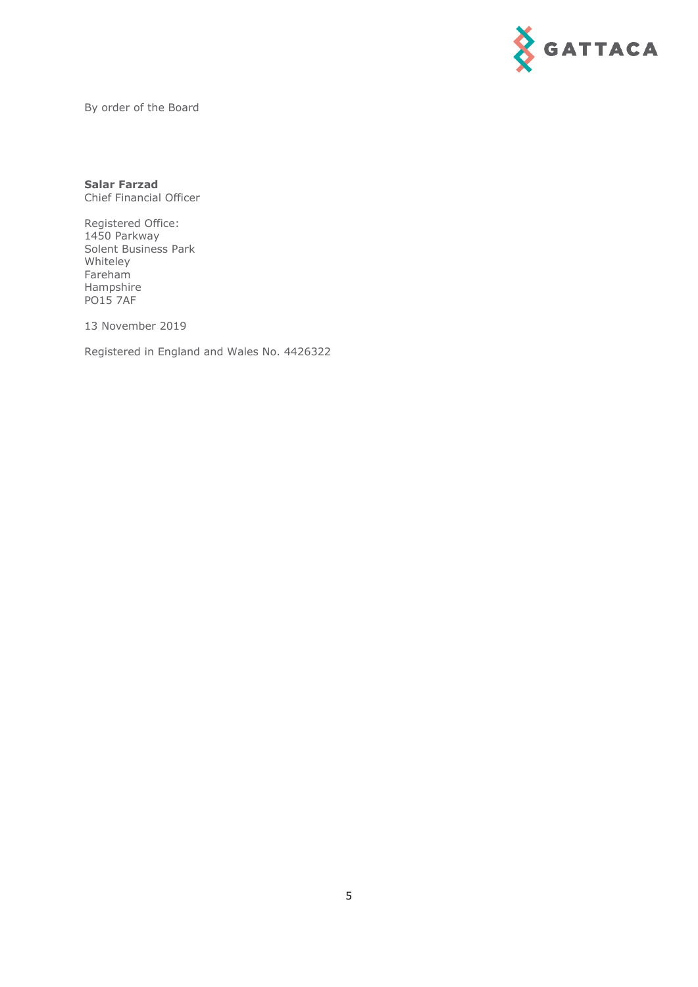

By order of the Board

**Salar Farzad**  Chief Financial Officer

Registered Office: 1450 Parkway Solent Business Park Whiteley Fareham Hampshire PO15 7AF

13 November 2019

Registered in England and Wales No. 4426322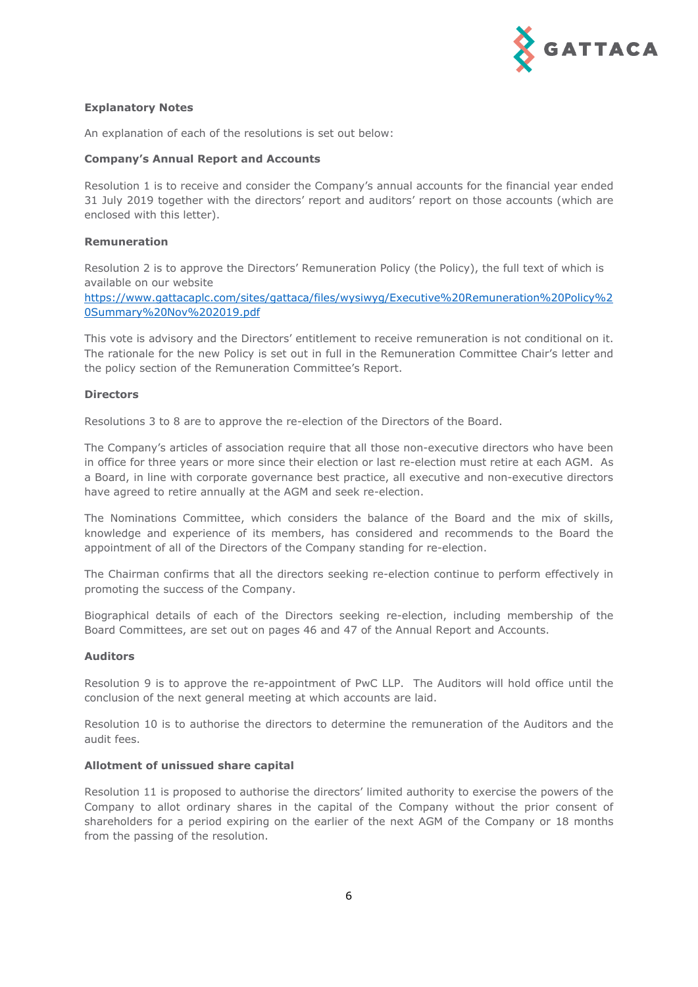

## **Explanatory Notes**

An explanation of each of the resolutions is set out below:

## **Company's Annual Report and Accounts**

Resolution 1 is to receive and consider the Company's annual accounts for the financial year ended 31 July 2019 together with the directors' report and auditors' report on those accounts (which are enclosed with this letter).

## **Remuneration**

Resolution 2 is to approve the Directors' Remuneration Policy (the Policy), the full text of which is available on our website

https://www.gattacaplc.com/sites/gattaca/files/wysiwyg/Executive%20Remuneration%20Policy%2 0Summary%20Nov%202019.pdf

This vote is advisory and the Directors' entitlement to receive remuneration is not conditional on it. The rationale for the new Policy is set out in full in the Remuneration Committee Chair's letter and the policy section of the Remuneration Committee's Report.

## **Directors**

Resolutions 3 to 8 are to approve the re-election of the Directors of the Board.

The Company's articles of association require that all those non-executive directors who have been in office for three years or more since their election or last re-election must retire at each AGM. As a Board, in line with corporate governance best practice, all executive and non-executive directors have agreed to retire annually at the AGM and seek re-election.

The Nominations Committee, which considers the balance of the Board and the mix of skills, knowledge and experience of its members, has considered and recommends to the Board the appointment of all of the Directors of the Company standing for re-election.

The Chairman confirms that all the directors seeking re-election continue to perform effectively in promoting the success of the Company.

Biographical details of each of the Directors seeking re-election, including membership of the Board Committees, are set out on pages 46 and 47 of the Annual Report and Accounts.

## **Auditors**

Resolution 9 is to approve the re-appointment of PwC LLP. The Auditors will hold office until the conclusion of the next general meeting at which accounts are laid.

Resolution 10 is to authorise the directors to determine the remuneration of the Auditors and the audit fees.

## **Allotment of unissued share capital**

Resolution 11 is proposed to authorise the directors' limited authority to exercise the powers of the Company to allot ordinary shares in the capital of the Company without the prior consent of shareholders for a period expiring on the earlier of the next AGM of the Company or 18 months from the passing of the resolution.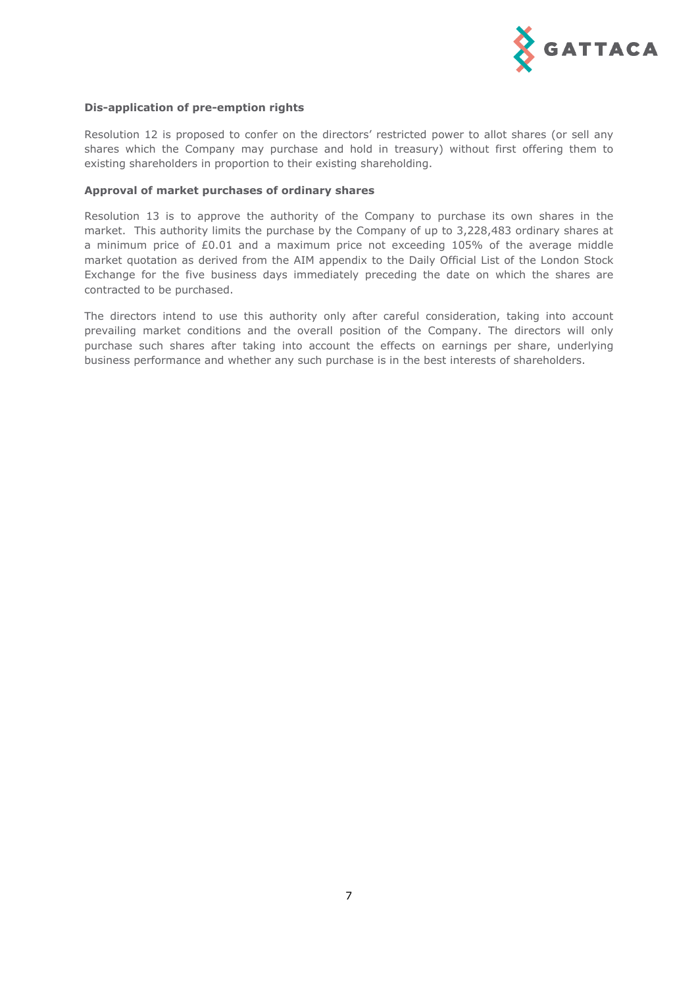

## **Dis-application of pre-emption rights**

Resolution 12 is proposed to confer on the directors' restricted power to allot shares (or sell any shares which the Company may purchase and hold in treasury) without first offering them to existing shareholders in proportion to their existing shareholding.

### **Approval of market purchases of ordinary shares**

Resolution 13 is to approve the authority of the Company to purchase its own shares in the market. This authority limits the purchase by the Company of up to 3,228,483 ordinary shares at a minimum price of £0.01 and a maximum price not exceeding 105% of the average middle market quotation as derived from the AIM appendix to the Daily Official List of the London Stock Exchange for the five business days immediately preceding the date on which the shares are contracted to be purchased.

The directors intend to use this authority only after careful consideration, taking into account prevailing market conditions and the overall position of the Company. The directors will only purchase such shares after taking into account the effects on earnings per share, underlying business performance and whether any such purchase is in the best interests of shareholders.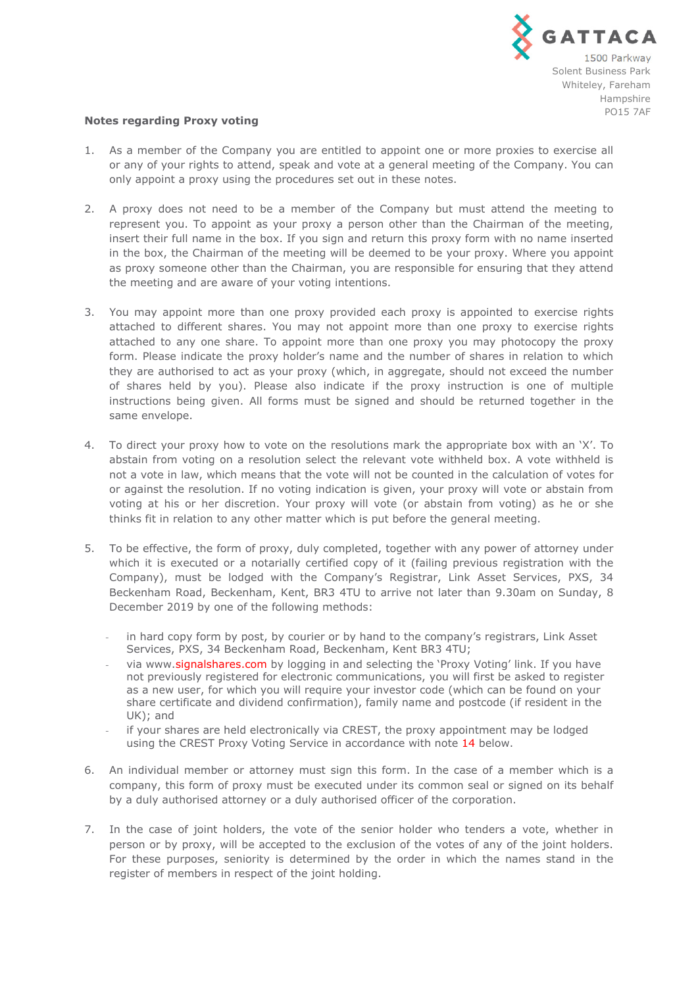

### **Notes regarding Proxy voting**

- 1. As a member of the Company you are entitled to appoint one or more proxies to exercise all or any of your rights to attend, speak and vote at a general meeting of the Company. You can only appoint a proxy using the procedures set out in these notes.
- 2. A proxy does not need to be a member of the Company but must attend the meeting to represent you. To appoint as your proxy a person other than the Chairman of the meeting, insert their full name in the box. If you sign and return this proxy form with no name inserted in the box, the Chairman of the meeting will be deemed to be your proxy. Where you appoint as proxy someone other than the Chairman, you are responsible for ensuring that they attend the meeting and are aware of your voting intentions.
- 3. You may appoint more than one proxy provided each proxy is appointed to exercise rights attached to different shares. You may not appoint more than one proxy to exercise rights attached to any one share. To appoint more than one proxy you may photocopy the proxy form. Please indicate the proxy holder's name and the number of shares in relation to which they are authorised to act as your proxy (which, in aggregate, should not exceed the number of shares held by you). Please also indicate if the proxy instruction is one of multiple instructions being given. All forms must be signed and should be returned together in the same envelope.
- 4. To direct your proxy how to vote on the resolutions mark the appropriate box with an 'X'. To abstain from voting on a resolution select the relevant vote withheld box. A vote withheld is not a vote in law, which means that the vote will not be counted in the calculation of votes for or against the resolution. If no voting indication is given, your proxy will vote or abstain from voting at his or her discretion. Your proxy will vote (or abstain from voting) as he or she thinks fit in relation to any other matter which is put before the general meeting.
- 5. To be effective, the form of proxy, duly completed, together with any power of attorney under which it is executed or a notarially certified copy of it (failing previous registration with the Company), must be lodged with the Company's Registrar, Link Asset Services, PXS, 34 Beckenham Road, Beckenham, Kent, BR3 4TU to arrive not later than 9.30am on Sunday, 8 December 2019 by one of the following methods:
	- in hard copy form by post, by courier or by hand to the company's registrars, Link Asset Services, PXS, 34 Beckenham Road, Beckenham, Kent BR3 4TU;
	- via www.signalshares.com by logging in and selecting the 'Proxy Voting' link. If you have not previously registered for electronic communications, you will first be asked to register as a new user, for which you will require your investor code (which can be found on your share certificate and dividend confirmation), family name and postcode (if resident in the UK); and
	- if your shares are held electronically via CREST, the proxy appointment may be lodged using the CREST Proxy Voting Service in accordance with note 14 below.
- 6. An individual member or attorney must sign this form. In the case of a member which is a company, this form of proxy must be executed under its common seal or signed on its behalf by a duly authorised attorney or a duly authorised officer of the corporation.
- 7. In the case of joint holders, the vote of the senior holder who tenders a vote, whether in person or by proxy, will be accepted to the exclusion of the votes of any of the joint holders. For these purposes, seniority is determined by the order in which the names stand in the register of members in respect of the joint holding.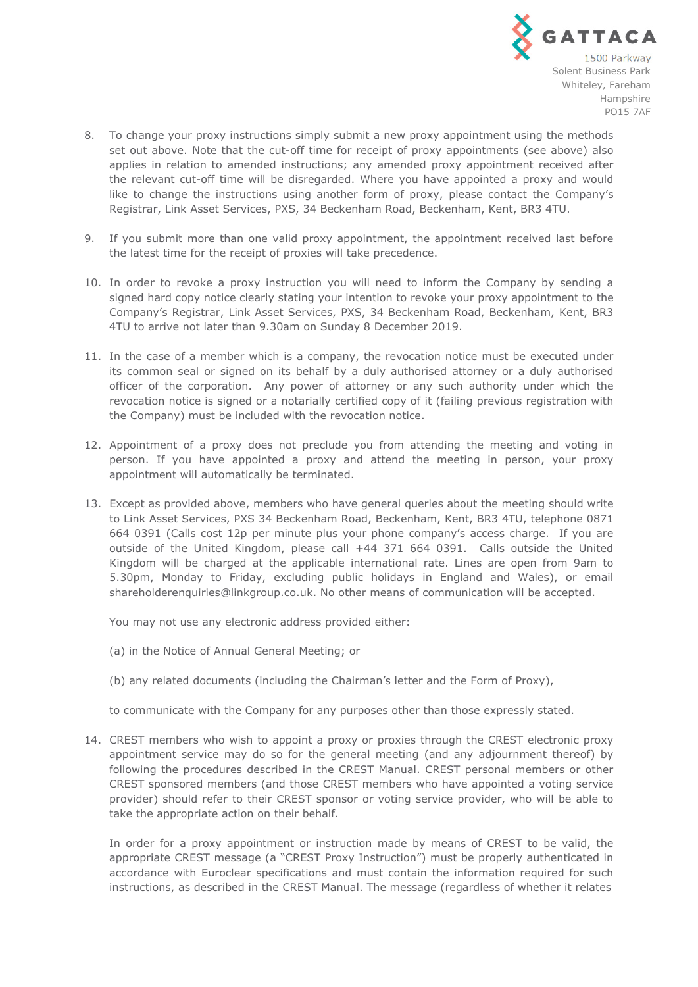

- 8. To change your proxy instructions simply submit a new proxy appointment using the methods set out above. Note that the cut-off time for receipt of proxy appointments (see above) also applies in relation to amended instructions; any amended proxy appointment received after the relevant cut-off time will be disregarded. Where you have appointed a proxy and would like to change the instructions using another form of proxy, please contact the Company's Registrar, Link Asset Services, PXS, 34 Beckenham Road, Beckenham, Kent, BR3 4TU.
- 9. If you submit more than one valid proxy appointment, the appointment received last before the latest time for the receipt of proxies will take precedence.
- 10. In order to revoke a proxy instruction you will need to inform the Company by sending a signed hard copy notice clearly stating your intention to revoke your proxy appointment to the Company's Registrar, Link Asset Services, PXS, 34 Beckenham Road, Beckenham, Kent, BR3 4TU to arrive not later than 9.30am on Sunday 8 December 2019.
- 11. In the case of a member which is a company, the revocation notice must be executed under its common seal or signed on its behalf by a duly authorised attorney or a duly authorised officer of the corporation. Any power of attorney or any such authority under which the revocation notice is signed or a notarially certified copy of it (failing previous registration with the Company) must be included with the revocation notice.
- 12. Appointment of a proxy does not preclude you from attending the meeting and voting in person. If you have appointed a proxy and attend the meeting in person, your proxy appointment will automatically be terminated.
- 13. Except as provided above, members who have general queries about the meeting should write to Link Asset Services, PXS 34 Beckenham Road, Beckenham, Kent, BR3 4TU, telephone 0871 664 0391 (Calls cost 12p per minute plus your phone company's access charge. If you are outside of the United Kingdom, please call +44 371 664 0391. Calls outside the United Kingdom will be charged at the applicable international rate. Lines are open from 9am to 5.30pm, Monday to Friday, excluding public holidays in England and Wales), or email shareholderenquiries@linkgroup.co.uk. No other means of communication will be accepted.

You may not use any electronic address provided either:

- (a) in the Notice of Annual General Meeting; or
- (b) any related documents (including the Chairman's letter and the Form of Proxy),

to communicate with the Company for any purposes other than those expressly stated.

14. CREST members who wish to appoint a proxy or proxies through the CREST electronic proxy appointment service may do so for the general meeting (and any adjournment thereof) by following the procedures described in the CREST Manual. CREST personal members or other CREST sponsored members (and those CREST members who have appointed a voting service provider) should refer to their CREST sponsor or voting service provider, who will be able to take the appropriate action on their behalf.

In order for a proxy appointment or instruction made by means of CREST to be valid, the appropriate CREST message (a "CREST Proxy Instruction") must be properly authenticated in accordance with Euroclear specifications and must contain the information required for such instructions, as described in the CREST Manual. The message (regardless of whether it relates